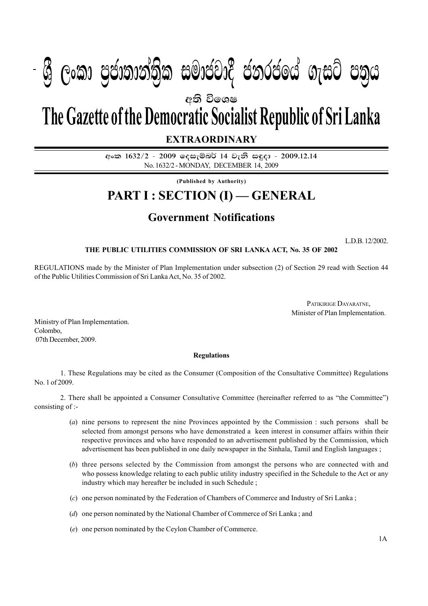## $\mathbf{A} \mathbf{A} = \mathbf{A} \mathbf{A} \mathbf{A} + \mathbf{A} \mathbf{A} \mathbf{A} + \mathbf{A} \mathbf{A} \mathbf{A}$  $P_{\rm 1.6}$  :  $P_{\rm 2.6}$   $P_{\rm 3.6}$   $P_{\rm 4.6}$   $P_{\rm 5.6}$   $P_{\rm 6.6}$   $P_{\rm 7.6}$   $P_{\rm 8.6}$   $P_{\rm 1.6}$  $\mathcal{P}(\mathcal{S}_{\mathcal{S}})$  යුදාගානාවාම සංකායයාර් යනුරයකය ගැසුර යන්

අති වි**ශෙ**ෂ

# **The Gazette of the Democratic Socialist Republic of Sri Lanka**

## **EXTRAORDINARY**

අංක 1632/2 - 2009 ලදසැම්බර් 14 වැනි සඳුදා - 2009.12.14 No. 1632/2 - MONDAY, DECEMBER 14, 2009

**(Published by Authority)**

# **PART I : SECTION (I) — GENERAL**

# **Government Notifications**

L.D.B. 12/2002.

### **THE PUBLIC UTILITIES COMMISSION OF SRI LANKA ACT, No. 35 OF 2002**

REGULATIONS made by the Minister of Plan Implementation under subsection (2) of Section 29 read with Section 44 of the Public Utilities Commission of Sri Lanka Act, No. 35 of 2002.

> PATIKIRIGE DAYARATNE, Minister of Plan Implementation.

Ministry of Plan Implementation. Colombo, 07th December, 2009.

#### **Regulations**

1. These Regulations may be cited as the Consumer (Composition of the Consultative Committee) Regulations No. 1 of 2009.

2. There shall be appointed a Consumer Consultative Committee (hereinafter referred to as "the Committee") consisting of :-

- (*a*) nine persons to represent the nine Provinces appointed by the Commission : such persons shall be selected from amongst persons who have demonstrated a keen interest in consumer affairs within their respective provinces and who have responded to an advertisement published by the Commission, which advertisement has been published in one daily newspaper in the Sinhala, Tamil and English languages ;
- (*b*) three persons selected by the Commission from amongst the persons who are connected with and who possess knowledge relating to each public utility industry specified in the Schedule to the Act or any industry which may hereafter be included in such Schedule ;
- (*c*) one person nominated by the Federation of Chambers of Commerce and Industry of Sri Lanka ;
- (*d*) one person nominated by the National Chamber of Commerce of Sri Lanka ; and
- (*e*) one person nominated by the Ceylon Chamber of Commerce.